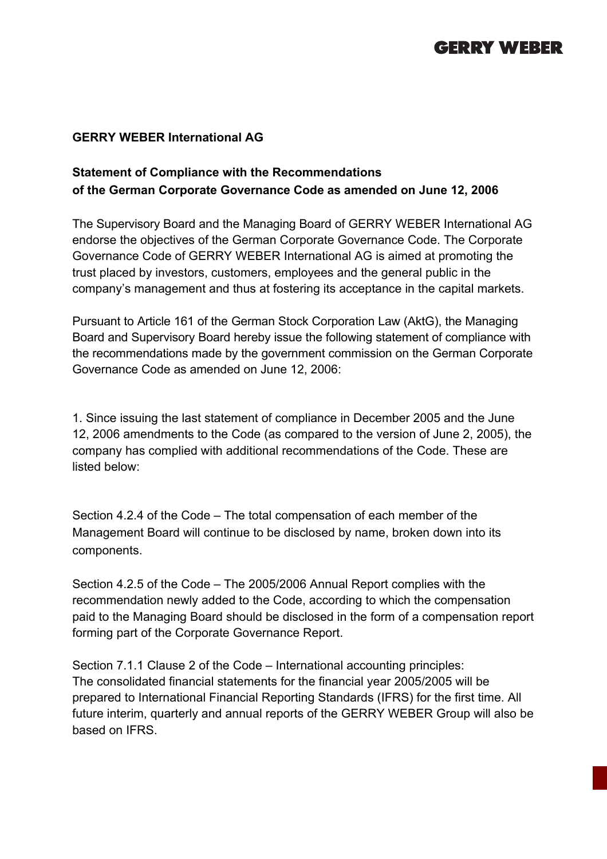## **GERRY WEBER**

#### **GERRY WEBER International AG**

### **Statement of Compliance with the Recommendations of the German Corporate Governance Code as amended on June 12, 2006**

The Supervisory Board and the Managing Board of GERRY WEBER International AG endorse the objectives of the German Corporate Governance Code. The Corporate Governance Code of GERRY WEBER International AG is aimed at promoting the trust placed by investors, customers, employees and the general public in the company's management and thus at fostering its acceptance in the capital markets.

Pursuant to Article 161 of the German Stock Corporation Law (AktG), the Managing Board and Supervisory Board hereby issue the following statement of compliance with the recommendations made by the government commission on the German Corporate Governance Code as amended on June 12, 2006:

1. Since issuing the last statement of compliance in December 2005 and the June 12, 2006 amendments to the Code (as compared to the version of June 2, 2005), the company has complied with additional recommendations of the Code. These are listed below:

Section 4.2.4 of the Code – The total compensation of each member of the Management Board will continue to be disclosed by name, broken down into its components.

Section 4.2.5 of the Code – The 2005/2006 Annual Report complies with the recommendation newly added to the Code, according to which the compensation paid to the Managing Board should be disclosed in the form of a compensation report forming part of the Corporate Governance Report.

Section 7.1.1 Clause 2 of the Code – International accounting principles: The consolidated financial statements for the financial year 2005/2005 will be prepared to International Financial Reporting Standards (IFRS) for the first time. All future interim, quarterly and annual reports of the GERRY WEBER Group will also be based on IFRS.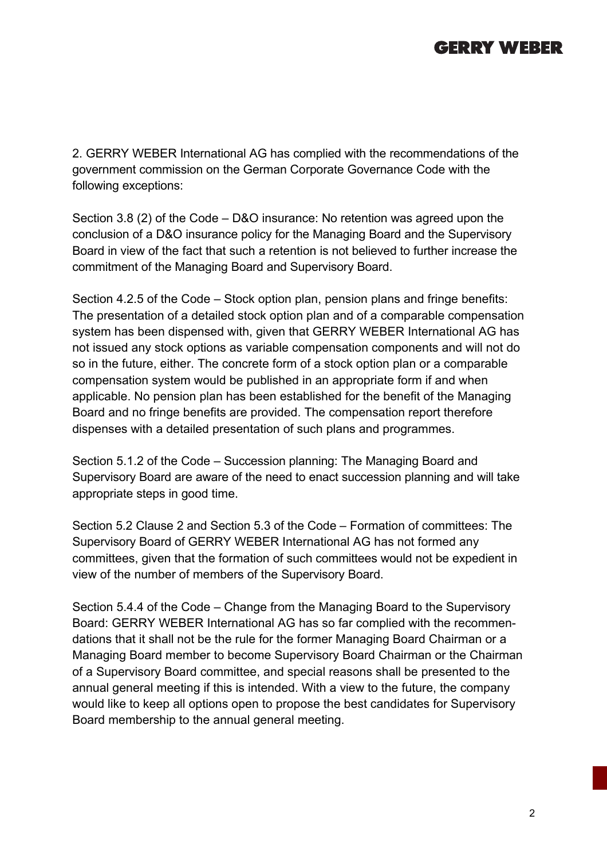# **GERRY WEBER**

2. GERRY WEBER International AG has complied with the recommendations of the government commission on the German Corporate Governance Code with the following exceptions:

Section 3.8 (2) of the Code – D&O insurance: No retention was agreed upon the conclusion of a D&O insurance policy for the Managing Board and the Supervisory Board in view of the fact that such a retention is not believed to further increase the commitment of the Managing Board and Supervisory Board.

Section 4.2.5 of the Code – Stock option plan, pension plans and fringe benefits: The presentation of a detailed stock option plan and of a comparable compensation system has been dispensed with, given that GERRY WEBER International AG has not issued any stock options as variable compensation components and will not do so in the future, either. The concrete form of a stock option plan or a comparable compensation system would be published in an appropriate form if and when applicable. No pension plan has been established for the benefit of the Managing Board and no fringe benefits are provided. The compensation report therefore dispenses with a detailed presentation of such plans and programmes.

Section 5.1.2 of the Code – Succession planning: The Managing Board and Supervisory Board are aware of the need to enact succession planning and will take appropriate steps in good time.

Section 5.2 Clause 2 and Section 5.3 of the Code – Formation of committees: The Supervisory Board of GERRY WEBER International AG has not formed any committees, given that the formation of such committees would not be expedient in view of the number of members of the Supervisory Board.

Section 5.4.4 of the Code – Change from the Managing Board to the Supervisory Board: GERRY WEBER International AG has so far complied with the recommendations that it shall not be the rule for the former Managing Board Chairman or a Managing Board member to become Supervisory Board Chairman or the Chairman of a Supervisory Board committee, and special reasons shall be presented to the annual general meeting if this is intended. With a view to the future, the company would like to keep all options open to propose the best candidates for Supervisory Board membership to the annual general meeting.